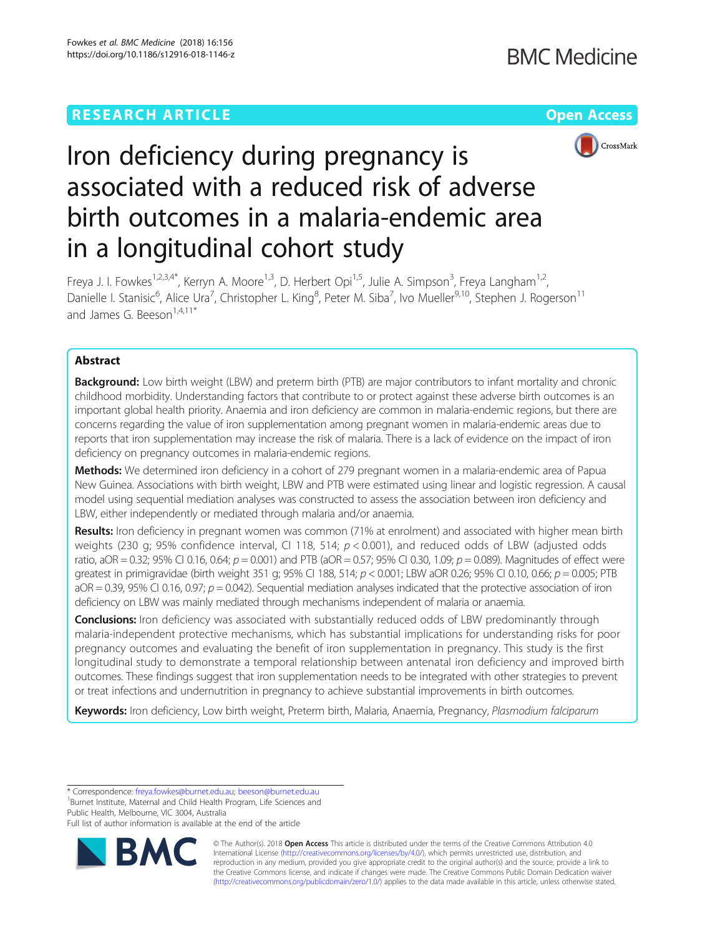

# Iron deficiency during pregnancy is associated with a reduced risk of adverse birth outcomes in a malaria-endemic area in a longitudinal cohort study

Freya J. I. Fowkes<sup>1,2,3,4\*</sup>, Kerryn A. Moore<sup>1,3</sup>, D. Herbert Opi<sup>1,5</sup>, Julie A. Simpson<sup>3</sup>, Freya Langham<sup>1,2</sup>, Danielle I. Stanisic<sup>6</sup>, Alice Ura<sup>7</sup>, Christopher L. King<sup>8</sup>, Peter M. Siba<sup>7</sup>, Ivo Mueller<sup>9,10</sup>, Stephen J. Rogerson<sup>11</sup> and James G. Beeson<sup>1,4,11\*</sup>

# Abstract

Background: Low birth weight (LBW) and preterm birth (PTB) are major contributors to infant mortality and chronic childhood morbidity. Understanding factors that contribute to or protect against these adverse birth outcomes is an important global health priority. Anaemia and iron deficiency are common in malaria-endemic regions, but there are concerns regarding the value of iron supplementation among pregnant women in malaria-endemic areas due to reports that iron supplementation may increase the risk of malaria. There is a lack of evidence on the impact of iron deficiency on pregnancy outcomes in malaria-endemic regions.

Methods: We determined iron deficiency in a cohort of 279 pregnant women in a malaria-endemic area of Papua New Guinea. Associations with birth weight, LBW and PTB were estimated using linear and logistic regression. A causal model using sequential mediation analyses was constructed to assess the association between iron deficiency and LBW, either independently or mediated through malaria and/or anaemia.

Results: Iron deficiency in pregnant women was common (71% at enrolment) and associated with higher mean birth weights (230 g; 95% confidence interval, CI 118, 514;  $p < 0.001$ ), and reduced odds of LBW (adjusted odds ratio, aOR = 0.32; 95% CI 0.16, 0.64;  $p = 0.001$ ) and PTB (aOR = 0.57; 95% CI 0.30, 1.09;  $p = 0.089$ ). Magnitudes of effect were greatest in primigravidae (birth weight 351 g; 95% CI 188, 514;  $p < 0.001$ ; LBW aOR 0.26; 95% CI 0.10, 0.66;  $p = 0.005$ ; PTB  $aOR = 0.39$ , 95% CI 0.16, 0.97;  $p = 0.042$ ). Sequential mediation analyses indicated that the protective association of iron deficiency on LBW was mainly mediated through mechanisms independent of malaria or anaemia.

**Conclusions:** Iron deficiency was associated with substantially reduced odds of LBW predominantly through malaria-independent protective mechanisms, which has substantial implications for understanding risks for poor pregnancy outcomes and evaluating the benefit of iron supplementation in pregnancy. This study is the first longitudinal study to demonstrate a temporal relationship between antenatal iron deficiency and improved birth outcomes. These findings suggest that iron supplementation needs to be integrated with other strategies to prevent or treat infections and undernutrition in pregnancy to achieve substantial improvements in birth outcomes.

Keywords: Iron deficiency, Low birth weight, Preterm birth, Malaria, Anaemia, Pregnancy, Plasmodium falciparum

\* Correspondence: [freya.fowkes@burnet.edu.au;](mailto:freya.fowkes@burnet.edu.au) [beeson@burnet.edu.au](mailto:beeson@burnet.edu.au) <sup>1</sup>

<sup>1</sup>Burnet Institute, Maternal and Child Health Program, Life Sciences and Public Health, Melbourne, VIC 3004, Australia

Full list of author information is available at the end of the article



© The Author(s). 2018 Open Access This article is distributed under the terms of the Creative Commons Attribution 4.0 International License [\(http://creativecommons.org/licenses/by/4.0/](http://creativecommons.org/licenses/by/4.0/)), which permits unrestricted use, distribution, and reproduction in any medium, provided you give appropriate credit to the original author(s) and the source, provide a link to the Creative Commons license, and indicate if changes were made. The Creative Commons Public Domain Dedication waiver [\(http://creativecommons.org/publicdomain/zero/1.0/](http://creativecommons.org/publicdomain/zero/1.0/)) applies to the data made available in this article, unless otherwise stated.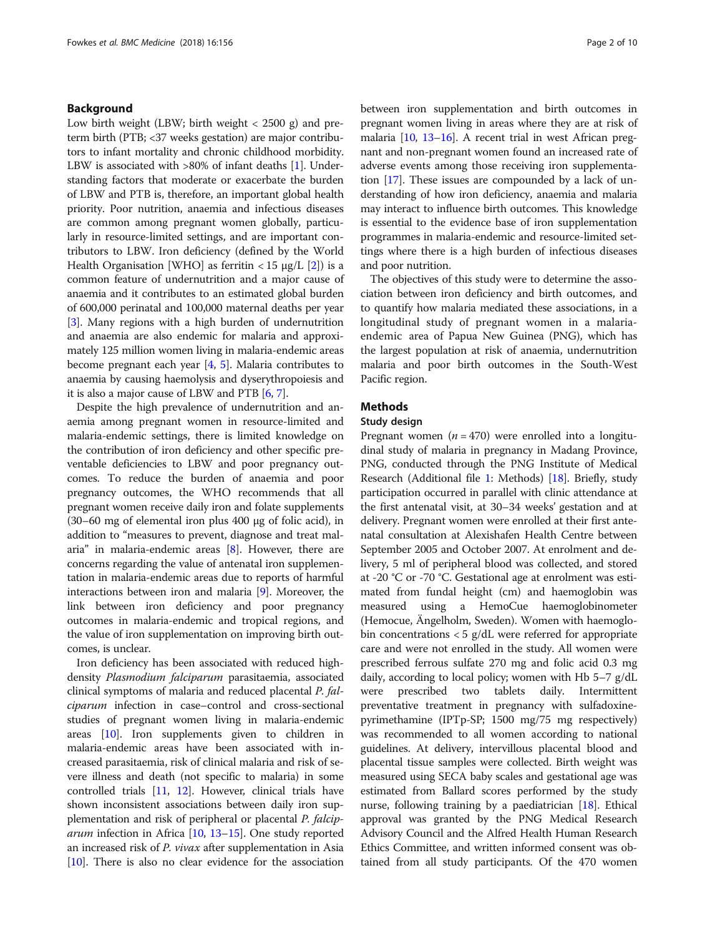# Background

Low birth weight (LBW; birth weight  $<$  2500 g) and preterm birth (PTB; <37 weeks gestation) are major contributors to infant mortality and chronic childhood morbidity. LBW is associated with >80% of infant deaths [[1](#page-8-0)]. Understanding factors that moderate or exacerbate the burden of LBW and PTB is, therefore, an important global health priority. Poor nutrition, anaemia and infectious diseases are common among pregnant women globally, particularly in resource-limited settings, and are important contributors to LBW. Iron deficiency (defined by the World Health Organisation [WHO] as ferritin  $<$  15  $\mu$ g/L [[2\]](#page-8-0)) is a common feature of undernutrition and a major cause of anaemia and it contributes to an estimated global burden of 600,000 perinatal and 100,000 maternal deaths per year [[3\]](#page-8-0). Many regions with a high burden of undernutrition and anaemia are also endemic for malaria and approximately 125 million women living in malaria-endemic areas become pregnant each year [[4](#page-8-0), [5\]](#page-8-0). Malaria contributes to anaemia by causing haemolysis and dyserythropoiesis and it is also a major cause of LBW and PTB [\[6](#page-8-0), [7\]](#page-8-0).

Despite the high prevalence of undernutrition and anaemia among pregnant women in resource-limited and malaria-endemic settings, there is limited knowledge on the contribution of iron deficiency and other specific preventable deficiencies to LBW and poor pregnancy outcomes. To reduce the burden of anaemia and poor pregnancy outcomes, the WHO recommends that all pregnant women receive daily iron and folate supplements (30–60 mg of elemental iron plus 400 μg of folic acid), in addition to "measures to prevent, diagnose and treat malaria" in malaria-endemic areas [\[8](#page-8-0)]. However, there are concerns regarding the value of antenatal iron supplementation in malaria-endemic areas due to reports of harmful interactions between iron and malaria [[9](#page-8-0)]. Moreover, the link between iron deficiency and poor pregnancy outcomes in malaria-endemic and tropical regions, and the value of iron supplementation on improving birth outcomes, is unclear.

Iron deficiency has been associated with reduced highdensity Plasmodium falciparum parasitaemia, associated clinical symptoms of malaria and reduced placental P. falciparum infection in case–control and cross-sectional studies of pregnant women living in malaria-endemic areas [\[10](#page-8-0)]. Iron supplements given to children in malaria-endemic areas have been associated with increased parasitaemia, risk of clinical malaria and risk of severe illness and death (not specific to malaria) in some controlled trials [[11](#page-8-0), [12\]](#page-8-0). However, clinical trials have shown inconsistent associations between daily iron supplementation and risk of peripheral or placental P. falciparum infection in Africa [\[10](#page-8-0), [13](#page-8-0)–[15\]](#page-8-0). One study reported an increased risk of P. vivax after supplementation in Asia [[10](#page-8-0)]. There is also no clear evidence for the association between iron supplementation and birth outcomes in pregnant women living in areas where they are at risk of malaria [\[10,](#page-8-0) [13](#page-8-0)–[16\]](#page-8-0). A recent trial in west African pregnant and non-pregnant women found an increased rate of adverse events among those receiving iron supplementation [\[17\]](#page-8-0). These issues are compounded by a lack of understanding of how iron deficiency, anaemia and malaria may interact to influence birth outcomes. This knowledge is essential to the evidence base of iron supplementation programmes in malaria-endemic and resource-limited settings where there is a high burden of infectious diseases and poor nutrition.

The objectives of this study were to determine the association between iron deficiency and birth outcomes, and to quantify how malaria mediated these associations, in a longitudinal study of pregnant women in a malariaendemic area of Papua New Guinea (PNG), which has the largest population at risk of anaemia, undernutrition malaria and poor birth outcomes in the South-West Pacific region.

# **Methods**

# Study design

Pregnant women ( $n = 470$ ) were enrolled into a longitudinal study of malaria in pregnancy in Madang Province, PNG, conducted through the PNG Institute of Medical Research (Additional file [1:](#page-7-0) Methods) [\[18](#page-8-0)]. Briefly, study participation occurred in parallel with clinic attendance at the first antenatal visit, at 30–34 weeks' gestation and at delivery. Pregnant women were enrolled at their first antenatal consultation at Alexishafen Health Centre between September 2005 and October 2007. At enrolment and delivery, 5 ml of peripheral blood was collected, and stored at -20 °C or -70 °C. Gestational age at enrolment was estimated from fundal height (cm) and haemoglobin was measured using a HemoCue haemoglobinometer (Hemocue, Ängelholm, Sweden). Women with haemoglobin concentrations  $\langle 5 \text{ g/d} L \rangle$  were referred for appropriate care and were not enrolled in the study. All women were prescribed ferrous sulfate 270 mg and folic acid 0.3 mg daily, according to local policy; women with Hb 5–7 g/dL were prescribed two tablets daily. Intermittent preventative treatment in pregnancy with sulfadoxinepyrimethamine (IPTp-SP; 1500 mg/75 mg respectively) was recommended to all women according to national guidelines. At delivery, intervillous placental blood and placental tissue samples were collected. Birth weight was measured using SECA baby scales and gestational age was estimated from Ballard scores performed by the study nurse, following training by a paediatrician [\[18\]](#page-8-0). Ethical approval was granted by the PNG Medical Research Advisory Council and the Alfred Health Human Research Ethics Committee, and written informed consent was obtained from all study participants. Of the 470 women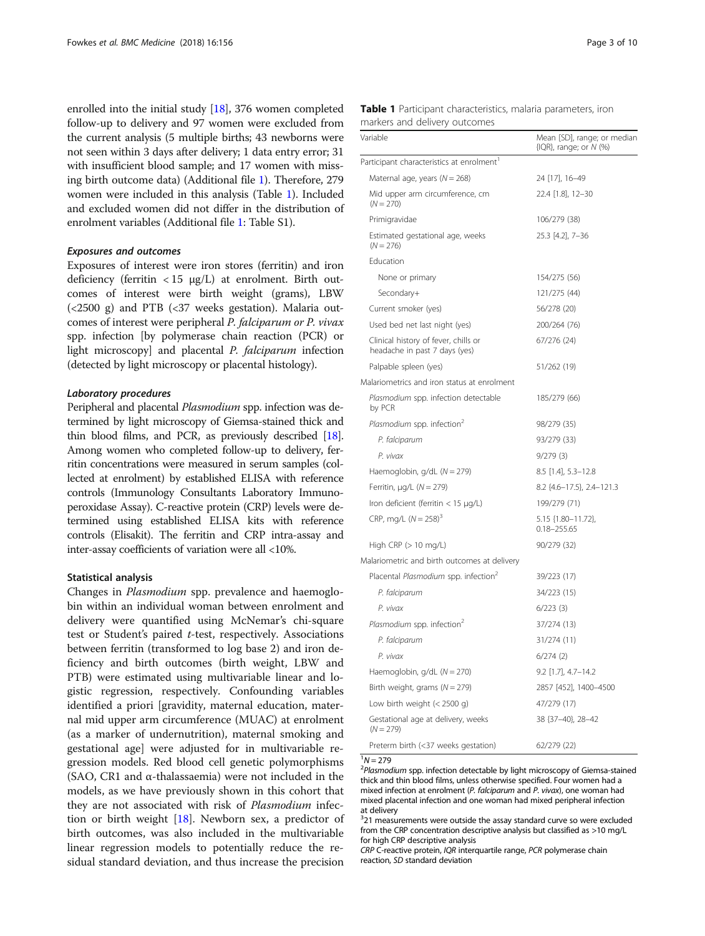<span id="page-2-0"></span>enrolled into the initial study [[18](#page-8-0)], 376 women completed follow-up to delivery and 97 women were excluded from the current analysis (5 multiple births; 43 newborns were not seen within 3 days after delivery; 1 data entry error; 31 with insufficient blood sample; and 17 women with missing birth outcome data) (Additional file [1](#page-7-0)). Therefore, 279 women were included in this analysis (Table 1). Included and excluded women did not differ in the distribution of enrolment variables (Additional file [1:](#page-7-0) Table S1).

#### Exposures and outcomes

Exposures of interest were iron stores (ferritin) and iron deficiency (ferritin  $<$  15  $\mu$ g/L) at enrolment. Birth outcomes of interest were birth weight (grams), LBW  $(<2500 \text{ g})$  and PTB  $(<37 \text{ weeks gestation})$ . Malaria outcomes of interest were peripheral P. falciparum or P. vivax spp. infection [by polymerase chain reaction (PCR) or light microscopy] and placental P. falciparum infection (detected by light microscopy or placental histology).

### Laboratory procedures

Peripheral and placental Plasmodium spp. infection was determined by light microscopy of Giemsa-stained thick and thin blood films, and PCR, as previously described [\[18](#page-8-0)]. Among women who completed follow-up to delivery, ferritin concentrations were measured in serum samples (collected at enrolment) by established ELISA with reference controls (Immunology Consultants Laboratory Immunoperoxidase Assay). C-reactive protein (CRP) levels were determined using established ELISA kits with reference controls (Elisakit). The ferritin and CRP intra-assay and inter-assay coefficients of variation were all <10%.

#### Statistical analysis

Changes in Plasmodium spp. prevalence and haemoglobin within an individual woman between enrolment and delivery were quantified using McNemar's chi-square test or Student's paired t-test, respectively. Associations between ferritin (transformed to log base 2) and iron deficiency and birth outcomes (birth weight, LBW and PTB) were estimated using multivariable linear and logistic regression, respectively. Confounding variables identified a priori [gravidity, maternal education, maternal mid upper arm circumference (MUAC) at enrolment (as a marker of undernutrition), maternal smoking and gestational age] were adjusted for in multivariable regression models. Red blood cell genetic polymorphisms (SAO, CR1 and α-thalassaemia) were not included in the models, as we have previously shown in this cohort that they are not associated with risk of Plasmodium infection or birth weight [[18\]](#page-8-0). Newborn sex, a predictor of birth outcomes, was also included in the multivariable linear regression models to potentially reduce the residual standard deviation, and thus increase the precision

|  | Table 1 Participant characteristics, malaria parameters, iron |  |  |
|--|---------------------------------------------------------------|--|--|
|  | markers and delivery outcomes                                 |  |  |

| Variable                                                              | Mean [SD], range; or median<br>$\{IQR\}$ , range; or $N$ (%) |
|-----------------------------------------------------------------------|--------------------------------------------------------------|
| Participant characteristics at enrolment <sup>1</sup>                 |                                                              |
| Maternal age, years ( $N = 268$ )                                     | 24 [17], 16-49                                               |
| Mid upper arm circumference, cm<br>$(N = 270)$                        | 22.4 [1.8], 12-30                                            |
| Primigravidae                                                         | 106/279 (38)                                                 |
| Estimated gestational age, weeks<br>$(N = 276)$                       | 25.3 [4.2], 7-36                                             |
| Education                                                             |                                                              |
| None or primary                                                       | 154/275 (56)                                                 |
| Secondary+                                                            | 121/275 (44)                                                 |
| Current smoker (yes)                                                  | 56/278 (20)                                                  |
| Used bed net last night (yes)                                         | 200/264 (76)                                                 |
| Clinical history of fever, chills or<br>headache in past 7 days (yes) | 67/276 (24)                                                  |
| Palpable spleen (yes)                                                 | 51/262 (19)                                                  |
| Malariometrics and iron status at enrolment                           |                                                              |
| Plasmodium spp. infection detectable<br>by PCR                        | 185/279 (66)                                                 |
| Plasmodium spp. infection <sup>2</sup>                                | 98/279 (35)                                                  |
| P. falciparum                                                         | 93/279 (33)                                                  |
| P. vivax                                                              | 9/279(3)                                                     |
| Haemoglobin, $g/dL$ ( $N = 279$ )                                     | 8.5 [1.4], 5.3-12.8                                          |
| Ferritin, $\mu$ g/L (N = 279)                                         | 8.2 {4.6-17.5}, 2.4-121.3                                    |
| Iron deficient (ferritin $<$ 15 $\mu$ g/L)                            | 199/279 (71)                                                 |
| CRP, mg/L $(N = 258)^3$                                               | 5.15 {1.80-11.72},<br>$0.18 - 255.65$                        |
| High CRP (> 10 mg/L)                                                  | 90/279 (32)                                                  |
| Malariometric and birth outcomes at delivery                          |                                                              |
| Placental Plasmodium spp. infection <sup>2</sup>                      | 39/223 (17)                                                  |
| P. falciparum                                                         | 34/223 (15)                                                  |
| P. vivax                                                              | 6/223(3)                                                     |
| Plasmodium spp. infection <sup>2</sup>                                | 37/274 (13)                                                  |
| P. falciparum                                                         | 31/274 (11)                                                  |
| P. vivax                                                              | 6/274(2)                                                     |
| Haemoglobin, $g/dL$ ( $N = 270$ )                                     | 9.2 [1.7], 4.7-14.2                                          |
| Birth weight, grams ( $N = 279$ )                                     | 2857 [452], 1400-4500                                        |
| Low birth weight $(< 2500 g)$                                         | 47/279 (17)                                                  |
| Gestational age at delivery, weeks<br>$(N = 279)$                     | 38 {37-40}, 28-42                                            |
| Preterm birth (<37 weeks gestation)                                   | 62/279 (22)                                                  |

 $\frac{1}{2}N = 279$ 

 $P$ Plasmodium spp. infection detectable by light microscopy of Giemsa-stained thick and thin blood films, unless otherwise specified. Four women had a mixed infection at enrolment (P. falciparum and P. vivax), one woman had mixed placental infection and one woman had mixed peripheral infection at delivery

<sup>3</sup>21 measurements were outside the assay standard curve so were excluded from the CRP concentration descriptive analysis but classified as >10 mg/L for high CRP descriptive analysis

CRP C-reactive protein, IQR interquartile range, PCR polymerase chain reaction, SD standard deviation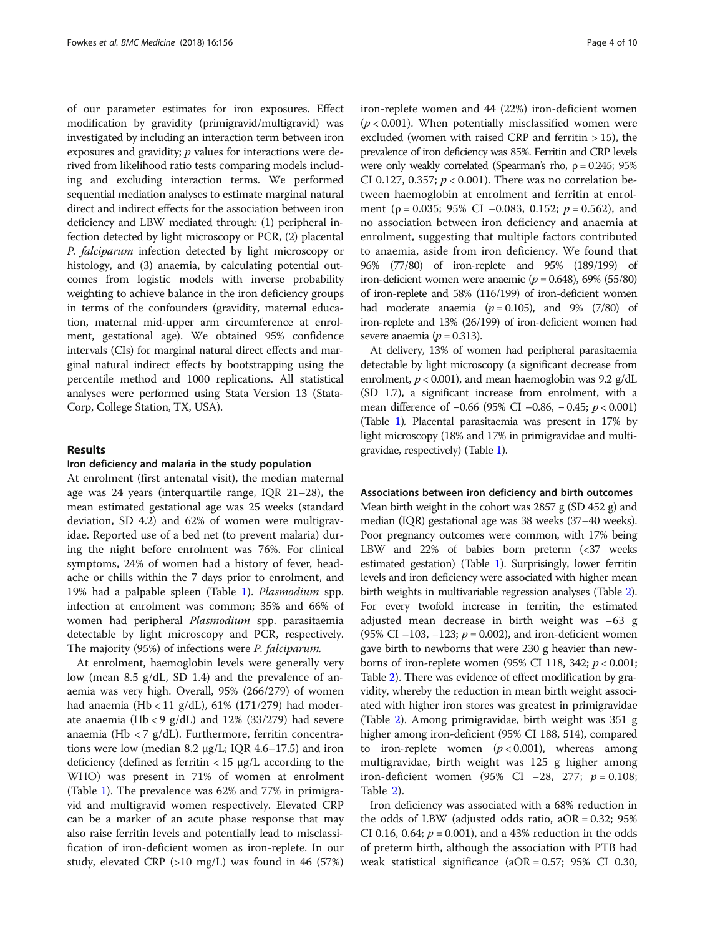of our parameter estimates for iron exposures. Effect modification by gravidity (primigravid/multigravid) was investigated by including an interaction term between iron exposures and gravidity;  $p$  values for interactions were derived from likelihood ratio tests comparing models including and excluding interaction terms. We performed sequential mediation analyses to estimate marginal natural direct and indirect effects for the association between iron deficiency and LBW mediated through: (1) peripheral infection detected by light microscopy or PCR, (2) placental P. falciparum infection detected by light microscopy or histology, and (3) anaemia, by calculating potential outcomes from logistic models with inverse probability weighting to achieve balance in the iron deficiency groups in terms of the confounders (gravidity, maternal education, maternal mid-upper arm circumference at enrolment, gestational age). We obtained 95% confidence intervals (CIs) for marginal natural direct effects and marginal natural indirect effects by bootstrapping using the percentile method and 1000 replications. All statistical analyses were performed using Stata Version 13 (Stata-Corp, College Station, TX, USA).

# Results

#### Iron deficiency and malaria in the study population

At enrolment (first antenatal visit), the median maternal age was 24 years (interquartile range, IQR 21–28), the mean estimated gestational age was 25 weeks (standard deviation, SD 4.2) and 62% of women were multigravidae. Reported use of a bed net (to prevent malaria) during the night before enrolment was 76%. For clinical symptoms, 24% of women had a history of fever, headache or chills within the 7 days prior to enrolment, and 19% had a palpable spleen (Table [1\)](#page-2-0). Plasmodium spp. infection at enrolment was common; 35% and 66% of women had peripheral Plasmodium spp. parasitaemia detectable by light microscopy and PCR, respectively. The majority (95%) of infections were P. falciparum.

At enrolment, haemoglobin levels were generally very low (mean 8.5 g/dL, SD 1.4) and the prevalence of anaemia was very high. Overall, 95% (266/279) of women had anaemia (Hb < 11 g/dL), 61% (171/279) had moderate anaemia (Hb < 9 g/dL) and 12% (33/279) had severe anaemia (Hb < 7 g/dL). Furthermore, ferritin concentrations were low (median 8.2  $\mu$ g/L; IQR 4.6–17.5) and iron deficiency (defined as ferritin  $<$  15  $\mu$ g/L according to the WHO) was present in 71% of women at enrolment (Table [1](#page-2-0)). The prevalence was 62% and 77% in primigravid and multigravid women respectively. Elevated CRP can be a marker of an acute phase response that may also raise ferritin levels and potentially lead to misclassification of iron-deficient women as iron-replete. In our study, elevated CRP (>10 mg/L) was found in 46 (57%) iron-replete women and 44 (22%) iron-deficient women  $(p < 0.001)$ . When potentially misclassified women were excluded (women with raised CRP and ferritin > 15), the prevalence of iron deficiency was 85%. Ferritin and CRP levels were only weakly correlated (Spearman's rho,  $\rho = 0.245$ ; 95% CI 0.127, 0.357;  $p < 0.001$ ). There was no correlation between haemoglobin at enrolment and ferritin at enrolment ( $\rho = 0.035$ ; 95% CI –0.083, 0.152;  $p = 0.562$ ), and no association between iron deficiency and anaemia at enrolment, suggesting that multiple factors contributed to anaemia, aside from iron deficiency. We found that 96% (77/80) of iron-replete and 95% (189/199) of iron-deficient women were anaemic ( $p = 0.648$ ), 69% (55/80) of iron-replete and 58% (116/199) of iron-deficient women had moderate anaemia  $(p = 0.105)$ , and 9% (7/80) of iron-replete and 13% (26/199) of iron-deficient women had severe anaemia ( $p = 0.313$ ).

At delivery, 13% of women had peripheral parasitaemia detectable by light microscopy (a significant decrease from enrolment,  $p < 0.001$ ), and mean haemoglobin was 9.2 g/dL (SD 1.7), a significant increase from enrolment, with a mean difference of -0.66 (95% CI -0.86, -0.45; *p* < 0.001) (Table [1\)](#page-2-0). Placental parasitaemia was present in 17% by light microscopy (18% and 17% in primigravidae and multigravidae, respectively) (Table [1](#page-2-0)).

#### Associations between iron deficiency and birth outcomes

Mean birth weight in the cohort was 2857 g (SD 452 g) and median (IQR) gestational age was 38 weeks (37–40 weeks). Poor pregnancy outcomes were common, with 17% being LBW and 22% of babies born preterm (<37 weeks estimated gestation) (Table [1\)](#page-2-0). Surprisingly, lower ferritin levels and iron deficiency were associated with higher mean birth weights in multivariable regression analyses (Table [2](#page-4-0)). For every twofold increase in ferritin, the estimated adjusted mean decrease in birth weight was −63 g (95% CI –103, –123;  $p = 0.002$ ), and iron-deficient women gave birth to newborns that were 230 g heavier than newborns of iron-replete women (95% CI 118, 342;  $p < 0.001$ ; Table [2\)](#page-4-0). There was evidence of effect modification by gravidity, whereby the reduction in mean birth weight associated with higher iron stores was greatest in primigravidae (Table [2](#page-4-0)). Among primigravidae, birth weight was 351 g higher among iron-deficient (95% CI 188, 514), compared to iron-replete women  $(p < 0.001)$ , whereas among multigravidae, birth weight was 125 g higher among iron-deficient women (95% CI –28, 277;  $p = 0.108$ ; Table [2](#page-4-0)).

Iron deficiency was associated with a 68% reduction in the odds of LBW (adjusted odds ratio,  $aOR = 0.32$ ; 95% CI 0.16, 0.64;  $p = 0.001$ ), and a 43% reduction in the odds of preterm birth, although the association with PTB had weak statistical significance (aOR = 0.57; 95% CI 0.30,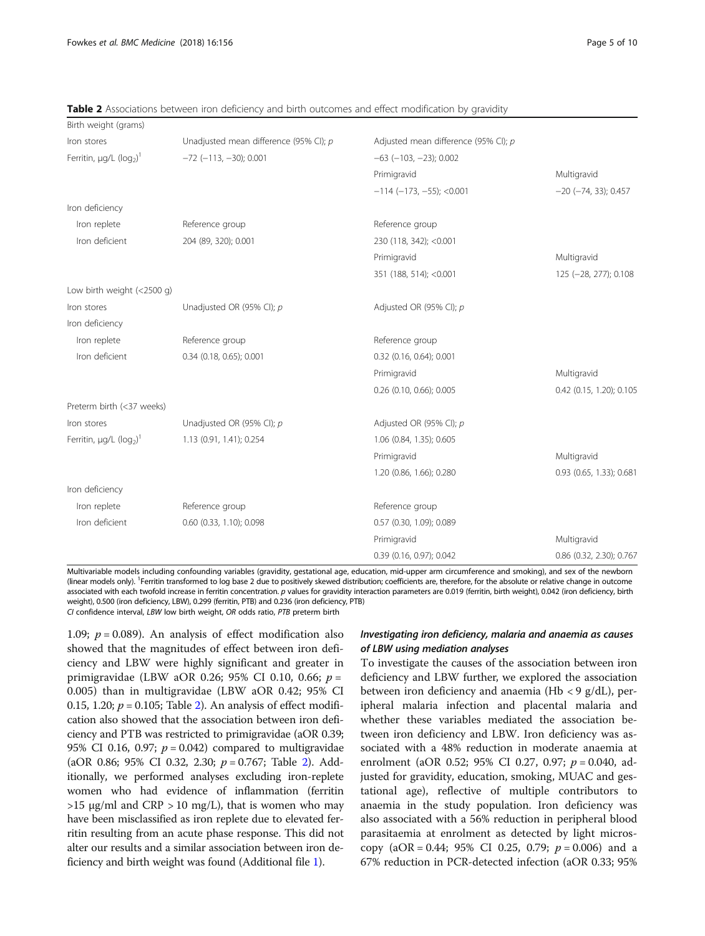| Birth weight (grams)                                 |                                        |                                      |                            |
|------------------------------------------------------|----------------------------------------|--------------------------------------|----------------------------|
| Iron stores                                          | Unadjusted mean difference (95% CI); p | Adjusted mean difference (95% CI); p |                            |
| Ferritin, $\mu q/L$ (log <sub>2</sub> ) <sup>1</sup> | $-72$ ( $-113$ , $-30$ ); 0.001        | $-63$ ( $-103$ , $-23$ ); 0.002      |                            |
|                                                      |                                        | Primigravid                          | Multigravid                |
|                                                      |                                        | $-114$ ( $-173$ , $-55$ ); <0.001    | $-20$ ( $-74$ , 33); 0.457 |
| Iron deficiency                                      |                                        |                                      |                            |
| Iron replete                                         | Reference group                        | Reference group                      |                            |
| Iron deficient                                       | 204 (89, 320); 0.001                   | 230 (118, 342); < 0.001              |                            |
|                                                      |                                        | Primigravid                          | Multigravid                |
|                                                      |                                        | 351 (188, 514); < 0.001              | 125 (-28, 277); 0.108      |
| Low birth weight $(<2500$ g)                         |                                        |                                      |                            |
| Iron stores                                          | Unadjusted OR (95% CI); p              | Adjusted OR (95% CI); p              |                            |
| Iron deficiency                                      |                                        |                                      |                            |
| Iron replete                                         | Reference group                        | Reference group                      |                            |
| Iron deficient                                       | 0.34 (0.18, 0.65); 0.001               | 0.32 (0.16, 0.64); 0.001             |                            |
|                                                      |                                        | Primigravid                          | Multigravid                |
|                                                      |                                        | 0.26 (0.10, 0.66); 0.005             | 0.42 (0.15, 1.20); 0.105   |
| Preterm birth (<37 weeks)                            |                                        |                                      |                            |
| Iron stores                                          | Unadjusted OR (95% CI); p              | Adjusted OR (95% CI); p              |                            |
| Ferritin, $\mu g/L$ ( $\log_2$ ) <sup>1</sup>        | 1.13 (0.91, 1.41); 0.254               | 1.06 (0.84, 1.35); 0.605             |                            |
|                                                      |                                        | Primigravid                          | Multigravid                |
|                                                      |                                        | 1.20 (0.86, 1.66); 0.280             | 0.93 (0.65, 1.33); 0.681   |
| Iron deficiency                                      |                                        |                                      |                            |
| Iron replete                                         | Reference group                        | Reference group                      |                            |
| Iron deficient                                       | 0.60 (0.33, 1.10); 0.098               | 0.57 (0.30, 1.09); 0.089             |                            |
|                                                      |                                        | Primigravid                          | Multigravid                |
|                                                      |                                        | 0.39 (0.16, 0.97); 0.042             | 0.86 (0.32, 2.30); 0.767   |

<span id="page-4-0"></span>**Table 2** Associations between iron deficiency and birth outcomes and effect modification by gravidity

Multivariable models including confounding variables (gravidity, gestational age, education, mid-upper arm circumference and smoking), and sex of the newborn (linear models only). <sup>1</sup> Ferritin transformed to log base 2 due to positively skewed distribution; coefficients are, therefore, for the absolute or relative change in outcome associated with each twofold increase in ferritin concentration. p values for gravidity interaction parameters are 0.019 (ferritin, birth weight), 0.042 (iron deficiency, birth weight), 0.500 (iron deficiency, LBW), 0.299 (ferritin, PTB) and 0.236 (iron deficiency, PTB) CI confidence interval, LBW low birth weight, OR odds ratio, PTB preterm birth

1.09;  $p = 0.089$ ). An analysis of effect modification also showed that the magnitudes of effect between iron deficiency and LBW were highly significant and greater in primigravidae (LBW aOR 0.26; 95% CI 0.10, 0.66; p = 0.005) than in multigravidae (LBW aOR 0.42; 95% CI 0.15, 1.20;  $p = 0.105$ ; Table 2). An analysis of effect modification also showed that the association between iron deficiency and PTB was restricted to primigravidae (aOR 0.39; 95% CI 0.16, 0.97;  $p = 0.042$ ) compared to multigravidae (aOR 0.86; 95% CI 0.32, 2.30;  $p = 0.767$ ; Table 2). Additionally, we performed analyses excluding iron-replete women who had evidence of inflammation (ferritin  $>15$  μg/ml and CRP  $>10$  mg/L), that is women who may have been misclassified as iron replete due to elevated ferritin resulting from an acute phase response. This did not alter our results and a similar association between iron deficiency and birth weight was found (Additional file [1](#page-7-0)).

# Investigating iron deficiency, malaria and anaemia as causes of LBW using mediation analyses

To investigate the causes of the association between iron deficiency and LBW further, we explored the association between iron deficiency and anaemia (Hb < 9  $g/dL$ ), peripheral malaria infection and placental malaria and whether these variables mediated the association between iron deficiency and LBW. Iron deficiency was associated with a 48% reduction in moderate anaemia at enrolment (aOR 0.52; 95% CI 0.27, 0.97;  $p = 0.040$ , adjusted for gravidity, education, smoking, MUAC and gestational age), reflective of multiple contributors to anaemia in the study population. Iron deficiency was also associated with a 56% reduction in peripheral blood parasitaemia at enrolment as detected by light microscopy (aOR = 0.44; 95% CI 0.25, 0.79;  $p = 0.006$ ) and a 67% reduction in PCR-detected infection (aOR 0.33; 95%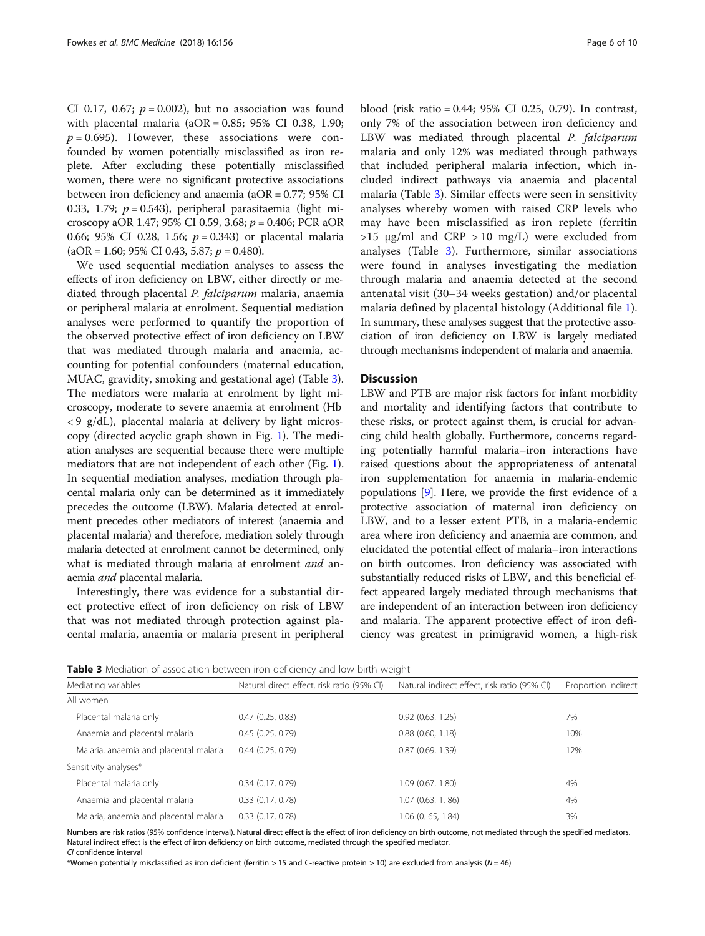<span id="page-5-0"></span>CI 0.17, 0.67;  $p = 0.002$ ), but no association was found with placental malaria ( $aOR = 0.85$ ; 95% CI 0.38, 1.90;  $p = 0.695$ ). However, these associations were confounded by women potentially misclassified as iron replete. After excluding these potentially misclassified women, there were no significant protective associations between iron deficiency and anaemia (aOR = 0.77; 95% CI 0.33, 1.79;  $p = 0.543$ ), peripheral parasitaemia (light microscopy aOR 1.47; 95% CI 0.59, 3.68;  $p = 0.406$ ; PCR aOR 0.66; 95% CI 0.28, 1.56;  $p = 0.343$  or placental malaria  $(aOR = 1.60; 95\% \text{ CI } 0.43, 5.87; p = 0.480).$ 

We used sequential mediation analyses to assess the effects of iron deficiency on LBW, either directly or mediated through placental P. falciparum malaria, anaemia or peripheral malaria at enrolment. Sequential mediation analyses were performed to quantify the proportion of the observed protective effect of iron deficiency on LBW that was mediated through malaria and anaemia, accounting for potential confounders (maternal education, MUAC, gravidity, smoking and gestational age) (Table 3). The mediators were malaria at enrolment by light microscopy, moderate to severe anaemia at enrolment (Hb  $<$  9 g/dL), placental malaria at delivery by light microscopy (directed acyclic graph shown in Fig. [1\)](#page-6-0). The mediation analyses are sequential because there were multiple mediators that are not independent of each other (Fig. [1](#page-6-0)). In sequential mediation analyses, mediation through placental malaria only can be determined as it immediately precedes the outcome (LBW). Malaria detected at enrolment precedes other mediators of interest (anaemia and placental malaria) and therefore, mediation solely through malaria detected at enrolment cannot be determined, only what is mediated through malaria at enrolment *and* anaemia and placental malaria.

Interestingly, there was evidence for a substantial direct protective effect of iron deficiency on risk of LBW that was not mediated through protection against placental malaria, anaemia or malaria present in peripheral

blood (risk ratio = 0.44; 95% CI 0.25, 0.79). In contrast, only 7% of the association between iron deficiency and LBW was mediated through placental P. falciparum malaria and only 12% was mediated through pathways that included peripheral malaria infection, which included indirect pathways via anaemia and placental malaria (Table 3). Similar effects were seen in sensitivity analyses whereby women with raised CRP levels who may have been misclassified as iron replete (ferritin  $>15$  µg/ml and CRP  $>10$  mg/L) were excluded from analyses (Table 3). Furthermore, similar associations were found in analyses investigating the mediation through malaria and anaemia detected at the second antenatal visit (30–34 weeks gestation) and/or placental malaria defined by placental histology (Additional file [1](#page-7-0)). In summary, these analyses suggest that the protective association of iron deficiency on LBW is largely mediated through mechanisms independent of malaria and anaemia.

# **Discussion**

LBW and PTB are major risk factors for infant morbidity and mortality and identifying factors that contribute to these risks, or protect against them, is crucial for advancing child health globally. Furthermore, concerns regarding potentially harmful malaria–iron interactions have raised questions about the appropriateness of antenatal iron supplementation for anaemia in malaria-endemic populations [[9\]](#page-8-0). Here, we provide the first evidence of a protective association of maternal iron deficiency on LBW, and to a lesser extent PTB, in a malaria-endemic area where iron deficiency and anaemia are common, and elucidated the potential effect of malaria–iron interactions on birth outcomes. Iron deficiency was associated with substantially reduced risks of LBW, and this beneficial effect appeared largely mediated through mechanisms that are independent of an interaction between iron deficiency and malaria. The apparent protective effect of iron deficiency was greatest in primigravid women, a high-risk

**Table 3** Mediation of association between iron deficiency and low birth weight

| Mediating variables                    | Natural direct effect, risk ratio (95% CI) | Natural indirect effect, risk ratio (95% CI) | Proportion indirect |
|----------------------------------------|--------------------------------------------|----------------------------------------------|---------------------|
| All women                              |                                            |                                              |                     |
| Placental malaria only                 | 0.47(0.25, 0.83)                           | 0.92(0.63, 1.25)                             | 7%                  |
| Anaemia and placental malaria          | 0.45(0.25, 0.79)                           | $0.88$ $(0.60, 1.18)$                        | 10%                 |
| Malaria, anaemia and placental malaria | 0.44(0.25, 0.79)                           | 0.87(0.69, 1.39)                             | 12%                 |
| Sensitivity analyses*                  |                                            |                                              |                     |
| Placental malaria only                 | 0.34(0.17, 0.79)                           | 1.09 (0.67, 1.80)                            | 4%                  |
| Anaemia and placental malaria          | $0.33$ $(0.17, 0.78)$                      | 1.07(0.63, 1.86)                             | 4%                  |
| Malaria, anaemia and placental malaria | 0.33(0.17, 0.78)                           | $1.06$ $(0.65, 1.84)$                        | 3%                  |

Numbers are risk ratios (95% confidence interval). Natural direct effect is the effect of iron deficiency on birth outcome, not mediated through the specified mediators. Natural indirect effect is the effect of iron deficiency on birth outcome, mediated through the specified mediator. CI confidence interval

\*Women potentially misclassified as iron deficient (ferritin > 15 and C-reactive protein > 10) are excluded from analysis (N = 46)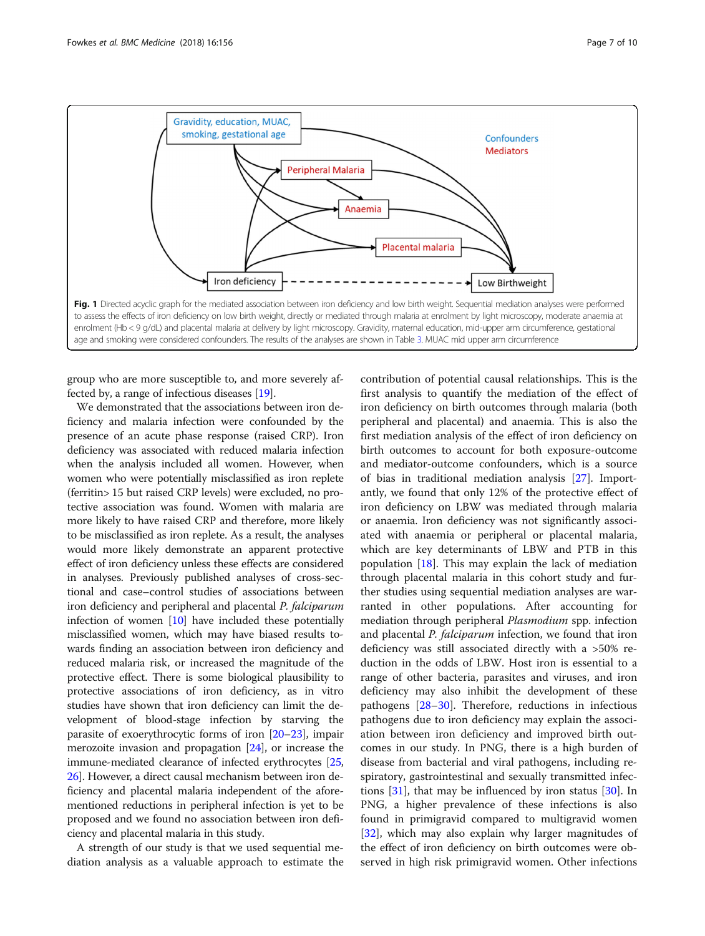<span id="page-6-0"></span>

group who are more susceptible to, and more severely affected by, a range of infectious diseases [\[19](#page-8-0)].

We demonstrated that the associations between iron deficiency and malaria infection were confounded by the presence of an acute phase response (raised CRP). Iron deficiency was associated with reduced malaria infection when the analysis included all women. However, when women who were potentially misclassified as iron replete (ferritin> 15 but raised CRP levels) were excluded, no protective association was found. Women with malaria are more likely to have raised CRP and therefore, more likely to be misclassified as iron replete. As a result, the analyses would more likely demonstrate an apparent protective effect of iron deficiency unless these effects are considered in analyses. Previously published analyses of cross-sectional and case–control studies of associations between iron deficiency and peripheral and placental P. falciparum infection of women  $[10]$  have included these potentially misclassified women, which may have biased results towards finding an association between iron deficiency and reduced malaria risk, or increased the magnitude of the protective effect. There is some biological plausibility to protective associations of iron deficiency, as in vitro studies have shown that iron deficiency can limit the development of blood-stage infection by starving the parasite of exoerythrocytic forms of iron [\[20](#page-8-0)–[23](#page-8-0)], impair merozoite invasion and propagation [[24](#page-8-0)], or increase the immune-mediated clearance of infected erythrocytes [[25](#page-8-0), [26](#page-8-0)]. However, a direct causal mechanism between iron deficiency and placental malaria independent of the aforementioned reductions in peripheral infection is yet to be proposed and we found no association between iron deficiency and placental malaria in this study.

A strength of our study is that we used sequential mediation analysis as a valuable approach to estimate the

contribution of potential causal relationships. This is the first analysis to quantify the mediation of the effect of iron deficiency on birth outcomes through malaria (both peripheral and placental) and anaemia. This is also the first mediation analysis of the effect of iron deficiency on birth outcomes to account for both exposure-outcome and mediator-outcome confounders, which is a source of bias in traditional mediation analysis [\[27](#page-8-0)]. Importantly, we found that only 12% of the protective effect of iron deficiency on LBW was mediated through malaria or anaemia. Iron deficiency was not significantly associated with anaemia or peripheral or placental malaria, which are key determinants of LBW and PTB in this population  $[18]$  $[18]$  $[18]$ . This may explain the lack of mediation through placental malaria in this cohort study and further studies using sequential mediation analyses are warranted in other populations. After accounting for mediation through peripheral Plasmodium spp. infection and placental P. falciparum infection, we found that iron deficiency was still associated directly with a >50% reduction in the odds of LBW. Host iron is essential to a range of other bacteria, parasites and viruses, and iron deficiency may also inhibit the development of these pathogens [\[28](#page-8-0)–[30](#page-8-0)]. Therefore, reductions in infectious pathogens due to iron deficiency may explain the association between iron deficiency and improved birth outcomes in our study. In PNG, there is a high burden of disease from bacterial and viral pathogens, including respiratory, gastrointestinal and sexually transmitted infections  $[31]$  $[31]$ , that may be influenced by iron status  $[30]$  $[30]$ . In PNG, a higher prevalence of these infections is also found in primigravid compared to multigravid women [[32\]](#page-9-0), which may also explain why larger magnitudes of the effect of iron deficiency on birth outcomes were observed in high risk primigravid women. Other infections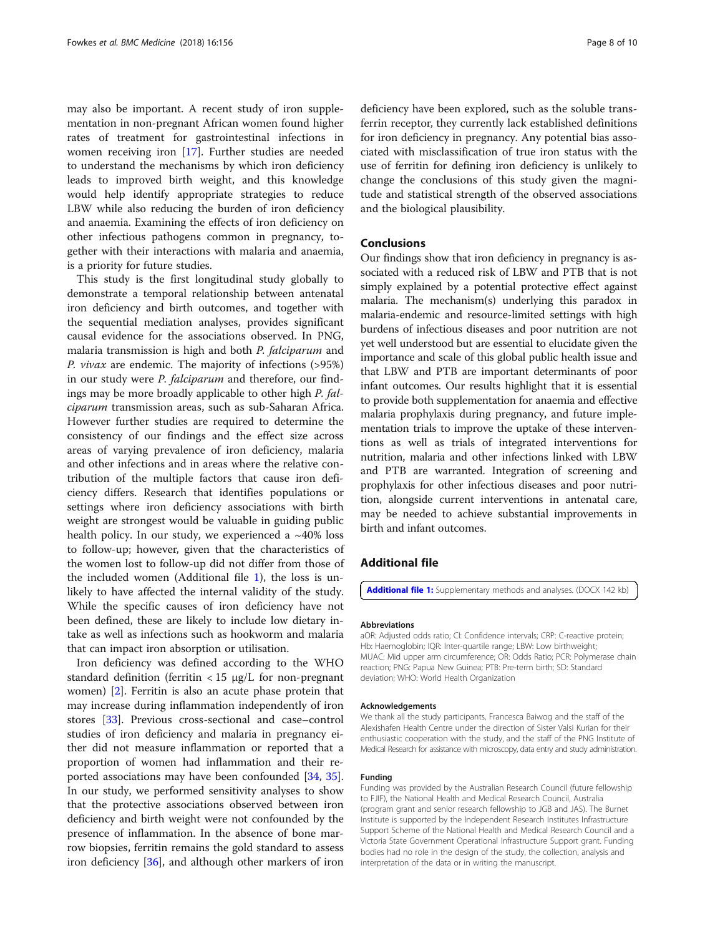<span id="page-7-0"></span>may also be important. A recent study of iron supplementation in non-pregnant African women found higher rates of treatment for gastrointestinal infections in women receiving iron [[17\]](#page-8-0). Further studies are needed to understand the mechanisms by which iron deficiency leads to improved birth weight, and this knowledge would help identify appropriate strategies to reduce LBW while also reducing the burden of iron deficiency and anaemia. Examining the effects of iron deficiency on other infectious pathogens common in pregnancy, together with their interactions with malaria and anaemia, is a priority for future studies.

This study is the first longitudinal study globally to demonstrate a temporal relationship between antenatal iron deficiency and birth outcomes, and together with the sequential mediation analyses, provides significant causal evidence for the associations observed. In PNG, malaria transmission is high and both P. falciparum and P. vivax are endemic. The majority of infections (>95%) in our study were P. falciparum and therefore, our findings may be more broadly applicable to other high P. falciparum transmission areas, such as sub-Saharan Africa. However further studies are required to determine the consistency of our findings and the effect size across areas of varying prevalence of iron deficiency, malaria and other infections and in areas where the relative contribution of the multiple factors that cause iron deficiency differs. Research that identifies populations or settings where iron deficiency associations with birth weight are strongest would be valuable in guiding public health policy. In our study, we experienced a  $~10\%$  loss to follow-up; however, given that the characteristics of the women lost to follow-up did not differ from those of the included women (Additional file 1), the loss is unlikely to have affected the internal validity of the study. While the specific causes of iron deficiency have not been defined, these are likely to include low dietary intake as well as infections such as hookworm and malaria that can impact iron absorption or utilisation.

Iron deficiency was defined according to the WHO standard definition (ferritin  $<$  15  $\mu$ g/L for non-pregnant women) [[2\]](#page-8-0). Ferritin is also an acute phase protein that may increase during inflammation independently of iron stores [[33](#page-9-0)]. Previous cross-sectional and case–control studies of iron deficiency and malaria in pregnancy either did not measure inflammation or reported that a proportion of women had inflammation and their reported associations may have been confounded [[34,](#page-9-0) [35](#page-9-0)]. In our study, we performed sensitivity analyses to show that the protective associations observed between iron deficiency and birth weight were not confounded by the presence of inflammation. In the absence of bone marrow biopsies, ferritin remains the gold standard to assess iron deficiency [\[36](#page-9-0)], and although other markers of iron deficiency have been explored, such as the soluble transferrin receptor, they currently lack established definitions for iron deficiency in pregnancy. Any potential bias associated with misclassification of true iron status with the use of ferritin for defining iron deficiency is unlikely to change the conclusions of this study given the magnitude and statistical strength of the observed associations and the biological plausibility.

# Conclusions

Our findings show that iron deficiency in pregnancy is associated with a reduced risk of LBW and PTB that is not simply explained by a potential protective effect against malaria. The mechanism(s) underlying this paradox in malaria-endemic and resource-limited settings with high burdens of infectious diseases and poor nutrition are not yet well understood but are essential to elucidate given the importance and scale of this global public health issue and that LBW and PTB are important determinants of poor infant outcomes. Our results highlight that it is essential to provide both supplementation for anaemia and effective malaria prophylaxis during pregnancy, and future implementation trials to improve the uptake of these interventions as well as trials of integrated interventions for nutrition, malaria and other infections linked with LBW and PTB are warranted. Integration of screening and prophylaxis for other infectious diseases and poor nutrition, alongside current interventions in antenatal care, may be needed to achieve substantial improvements in birth and infant outcomes.

# Additional file

[Additional file 1:](https://doi.org/10.1186/s12916-018-1146-z) Supplementary methods and analyses. (DOCX 142 kb)

#### Abbreviations

aOR: Adjusted odds ratio; CI: Confidence intervals; CRP: C-reactive protein; Hb: Haemoglobin; IQR: Inter-quartile range; LBW: Low birthweight; MUAC: Mid upper arm circumference; OR: Odds Ratio; PCR: Polymerase chain reaction; PNG: Papua New Guinea; PTB: Pre-term birth; SD: Standard deviation; WHO: World Health Organization

#### Acknowledgements

We thank all the study participants, Francesca Baiwog and the staff of the Alexishafen Health Centre under the direction of Sister Valsi Kurian for their enthusiastic cooperation with the study, and the staff of the PNG Institute of Medical Research for assistance with microscopy, data entry and study administration.

#### Funding

Funding was provided by the Australian Research Council (future fellowship to FJIF), the National Health and Medical Research Council, Australia (program grant and senior research fellowship to JGB and JAS). The Burnet Institute is supported by the Independent Research Institutes Infrastructure Support Scheme of the National Health and Medical Research Council and a Victoria State Government Operational Infrastructure Support grant. Funding bodies had no role in the design of the study, the collection, analysis and interpretation of the data or in writing the manuscript.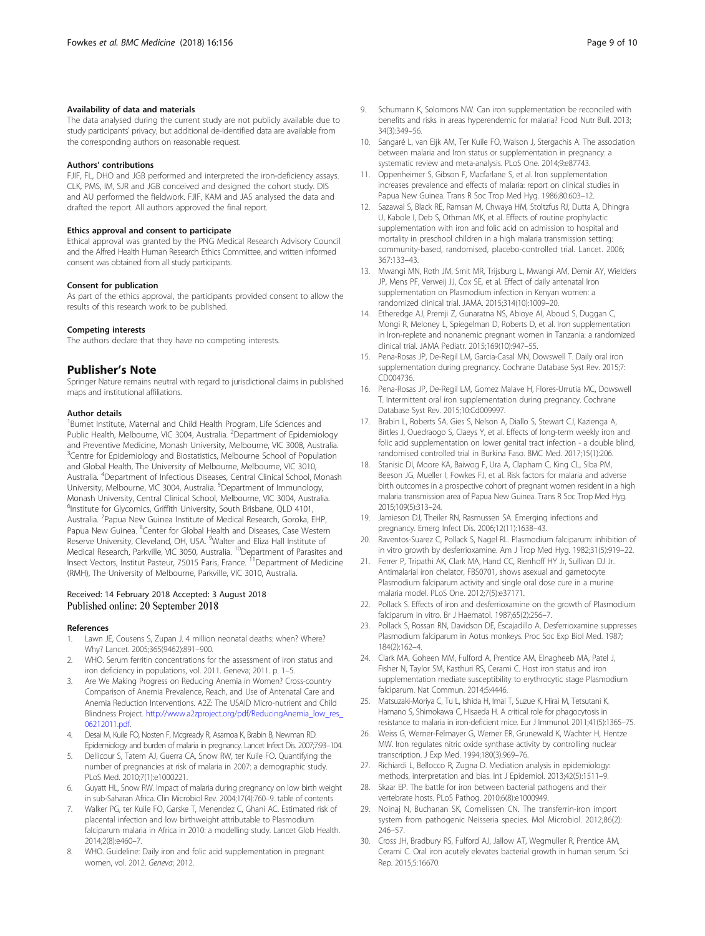#### <span id="page-8-0"></span>Availability of data and materials

The data analysed during the current study are not publicly available due to study participants' privacy, but additional de-identified data are available from the corresponding authors on reasonable request.

#### Authors' contributions

FJIF, FL, DHO and JGB performed and interpreted the iron-deficiency assays. CLK, PMS, IM, SJR and JGB conceived and designed the cohort study. DIS and AU performed the fieldwork. FJIF, KAM and JAS analysed the data and drafted the report. All authors approved the final report.

#### Ethics approval and consent to participate

Ethical approval was granted by the PNG Medical Research Advisory Council and the Alfred Health Human Research Ethics Committee, and written informed consent was obtained from all study participants.

#### Consent for publication

As part of the ethics approval, the participants provided consent to allow the results of this research work to be published.

#### Competing interests

The authors declare that they have no competing interests.

#### Publisher's Note

Springer Nature remains neutral with regard to jurisdictional claims in published maps and institutional affiliations.

#### Author details

<sup>1</sup>Burnet Institute, Maternal and Child Health Program, Life Sciences and Public Health, Melbourne, VIC 3004, Australia. <sup>2</sup>Department of Epidemiology and Preventive Medicine, Monash University, Melbourne, VIC 3008, Australia. <sup>3</sup>Centre for Epidemiology and Biostatistics, Melbourne School of Population and Global Health, The University of Melbourne, Melbourne, VIC 3010, Australia. <sup>4</sup> Department of Infectious Diseases, Central Clinical School, Monash University, Melbourne, VIC 3004, Australia. <sup>5</sup>Department of Immunology, Monash University, Central Clinical School, Melbourne, VIC 3004, Australia. <sup>6</sup>Institute for Glycomics, Griffith University, South Brisbane, QLD 4101, Australia. <sup>7</sup> Papua New Guinea Institute of Medical Research, Goroka, EHP, Papua New Guinea. <sup>8</sup>Center for Global Health and Diseases, Case Western Reserve University, Cleveland, OH, USA. <sup>9</sup>Walter and Eliza Hall Institute of Medical Research, Parkville, VIC 3050, Australia. <sup>10</sup>Department of Parasites and Insect Vectors, Institut Pasteur, 75015 Paris, France.<sup>11</sup> Department of Medicine (RMH), The University of Melbourne, Parkville, VIC 3010, Australia.

# Received: 14 February 2018 Accepted: 3 August 2018 Published online: 20 September 2018

#### References

- 1. Lawn JE, Cousens S, Zupan J. 4 million neonatal deaths: when? Where? Why? Lancet. 2005;365(9462):891–900.
- WHO. Serum ferritin concentrations for the assessment of iron status and iron deficiency in populations, vol. 2011. Geneva; 2011. p. 1–5.
- 3. Are We Making Progress on Reducing Anemia in Women? Cross-country Comparison of Anemia Prevalence, Reach, and Use of Antenatal Care and Anemia Reduction Interventions. A2Z: The USAID Micro-nutrient and Child Blindness Project. [http://www.a2zproject.org/pdf/ReducingAnemia\\_low\\_res\\_](http://www.a2zproject.org/pdf/ReducingAnemia_low_res_06212011.pdf) [06212011.pdf.](http://www.a2zproject.org/pdf/ReducingAnemia_low_res_06212011.pdf)
- 4. Desai M, Kuile FO, Nosten F, Mcgready R, Asamoa K, Brabin B, Newman RD. Epidemiology and burden of malaria in pregnancy. Lancet Infect Dis. 2007;7:93–104.
- Dellicour S, Tatem AJ, Guerra CA, Snow RW, ter Kuile FO. Quantifying the number of pregnancies at risk of malaria in 2007: a demographic study. PLoS Med. 2010;7(1):e1000221.
- 6. Guyatt HL, Snow RW. Impact of malaria during pregnancy on low birth weight in sub-Saharan Africa. Clin Microbiol Rev. 2004;17(4):760–9. table of contents
- 7. Walker PG, ter Kuile FO, Garske T, Menendez C, Ghani AC. Estimated risk of placental infection and low birthweight attributable to Plasmodium falciparum malaria in Africa in 2010: a modelling study. Lancet Glob Health. 2014;2(8):e460–7.
- WHO. Guideline: Daily iron and folic acid supplementation in pregnant women, vol. 2012. Geneva; 2012.
- Schumann K, Solomons NW. Can iron supplementation be reconciled with benefits and risks in areas hyperendemic for malaria? Food Nutr Bull. 2013; 34(3):349–56.
- 10. Sangaré L, van Eijk AM, Ter Kuile FO, Walson J, Stergachis A. The association between malaria and Iron status or supplementation in pregnancy: a systematic review and meta-analysis. PLoS One. 2014;9:e87743.
- 11. Oppenheimer S, Gibson F, Macfarlane S, et al. Iron supplementation increases prevalence and effects of malaria: report on clinical studies in Papua New Guinea. Trans R Soc Trop Med Hyg. 1986;80:603–12.
- 12. Sazawal S, Black RE, Ramsan M, Chwaya HM, Stoltzfus RJ, Dutta A, Dhingra U, Kabole I, Deb S, Othman MK, et al. Effects of routine prophylactic supplementation with iron and folic acid on admission to hospital and mortality in preschool children in a high malaria transmission setting: community-based, randomised, placebo-controlled trial. Lancet. 2006; 367:133–43.
- 13. Mwangi MN, Roth JM, Smit MR, Trijsburg L, Mwangi AM, Demir AY, Wielders JP, Mens PF, Verweij JJ, Cox SE, et al. Effect of daily antenatal Iron supplementation on Plasmodium infection in Kenyan women: a randomized clinical trial. JAMA. 2015;314(10):1009–20.
- 14. Etheredge AJ, Premji Z, Gunaratna NS, Abioye AI, Aboud S, Duggan C, Mongi R, Meloney L, Spiegelman D, Roberts D, et al. Iron supplementation in Iron-replete and nonanemic pregnant women in Tanzania: a randomized clinical trial. JAMA Pediatr. 2015;169(10):947–55.
- 15. Pena-Rosas JP, De-Regil LM, Garcia-Casal MN, Dowswell T. Daily oral iron supplementation during pregnancy. Cochrane Database Syst Rev. 2015;7: CD004736.
- 16. Pena-Rosas JP, De-Regil LM, Gomez Malave H, Flores-Urrutia MC, Dowswell T. Intermittent oral iron supplementation during pregnancy. Cochrane Database Syst Rev. 2015;10:Cd009997.
- 17. Brabin L, Roberts SA, Gies S, Nelson A, Diallo S, Stewart CJ, Kazienga A, Birtles J, Ouedraogo S, Claeys Y, et al. Effects of long-term weekly iron and folic acid supplementation on lower genital tract infection - a double blind, randomised controlled trial in Burkina Faso. BMC Med. 2017;15(1):206.
- 18. Stanisic DI, Moore KA, Baiwog F, Ura A, Clapham C, King CL, Siba PM, Beeson JG, Mueller I, Fowkes FJ, et al. Risk factors for malaria and adverse birth outcomes in a prospective cohort of pregnant women resident in a high malaria transmission area of Papua New Guinea. Trans R Soc Trop Med Hyg. 2015;109(5):313–24.
- 19. Jamieson DJ, Theiler RN, Rasmussen SA. Emerging infections and pregnancy. Emerg Infect Dis. 2006;12(11):1638–43.
- 20. Raventos-Suarez C, Pollack S, Nagel RL. Plasmodium falciparum: inhibition of in vitro growth by desferrioxamine. Am J Trop Med Hyg. 1982;31(5):919–22.
- 21. Ferrer P, Tripathi AK, Clark MA, Hand CC, Rienhoff HY Jr, Sullivan DJ Jr. Antimalarial iron chelator, FBS0701, shows asexual and gametocyte Plasmodium falciparum activity and single oral dose cure in a murine malaria model. PLoS One. 2012;7(5):e37171.
- 22. Pollack S. Effects of iron and desferrioxamine on the growth of Plasmodium falciparum in vitro. Br J Haematol. 1987;65(2):256–7.
- 23. Pollack S, Rossan RN, Davidson DE, Escajadillo A. Desferrioxamine suppresses Plasmodium falciparum in Aotus monkeys. Proc Soc Exp Biol Med. 1987; 184(2):162–4.
- 24. Clark MA, Goheen MM, Fulford A, Prentice AM, Elnagheeb MA, Patel J, Fisher N, Taylor SM, Kasthuri RS, Cerami C. Host iron status and iron supplementation mediate susceptibility to erythrocytic stage Plasmodium falciparum. Nat Commun. 2014;5:4446.
- 25. Matsuzaki-Moriya C, Tu L, Ishida H, Imai T, Suzue K, Hirai M, Tetsutani K, Hamano S, Shimokawa C, Hisaeda H. A critical role for phagocytosis in resistance to malaria in iron-deficient mice. Eur J Immunol. 2011;41(5):1365–75.
- 26. Weiss G, Werner-Felmayer G, Werner ER, Grunewald K, Wachter H, Hentze MW. Iron regulates nitric oxide synthase activity by controlling nuclear transcription. J Exp Med. 1994;180(3):969–76.
- 27. Richiardi L, Bellocco R, Zugna D. Mediation analysis in epidemiology: methods, interpretation and bias. Int J Epidemiol. 2013;42(5):1511–9.
- 28. Skaar EP. The battle for iron between bacterial pathogens and their vertebrate hosts. PLoS Pathog. 2010;6(8):e1000949.
- 29. Noinaj N, Buchanan SK, Cornelissen CN. The transferrin-iron import system from pathogenic Neisseria species. Mol Microbiol. 2012;86(2): 246–57.
- 30. Cross JH, Bradbury RS, Fulford AJ, Jallow AT, Wegmuller R, Prentice AM, Cerami C. Oral iron acutely elevates bacterial growth in human serum. Sci Rep. 2015;5:16670.